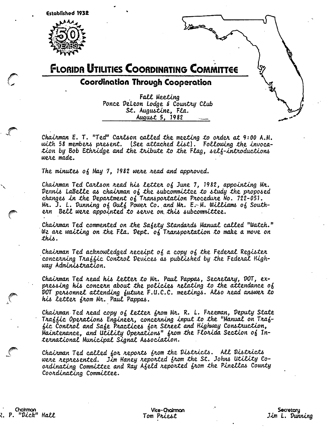



Coordination Through Cooperation

Fall Meeting Ponce DeLeon Lodge & Country Club St. Augustine, Fla. August 5, 1982

Chairman E. T. "Ted" Carlson called the meeting to order at 9:00 A.M. with 58 members present. (See attached list). Following the invocation by Bob Ethridge and the tribute to the Flag, self-introductions were made.

The minutes of May 7, 1982 were read and approved.

Chairman Ted Carlson read his letter of June 7, 1982, appointing Mr. Dennis LaBelle as chairman of the subcommittee to study the proposed changes in the Department of Transportation Procedure No. 722-051. Mr. J. L. Dunning of Gulf Power Co. and Mr.  $E-M$ . Williams of Southern Bell were appointed to serve on this subcommittee.

Chairman Ted commented on the Safety Standards Manual called "Watch." We are waiting on the Fla. Dept. of Transportation to make a move on this.

Chairman Ted acknowledged receipt of a copy of the Federal Register concerning Traffic Control Devices as published by the Federal Highway Administration.

Chairman Ted read his letter to Mr. Paul Pappas, Secretary, DOT, expressing his concern about the policies relating to the attendance of DOT personnel attending future F.U.C.C. meetings. Also read answer to his letter from Mr. Paul Pappas.

Chairman Ted read copy of letter from Nr. R. L. Freeman, Deputy State Traffic Operations Engineer, concerning input to the "Manual on Traffic Control and Safe Practices for Street and Highway Construction, Maintenance, and Utility Operations" from the Florida Section of International Municipal Signal Association.

Chairman Ted called for reports from the Districts. All Districts were represented. Jim Haney reported from the St. Johns Utility Coordinating Committee and Ray Afeld reported from the Pinellas County Coordinating Committee.

Chairman 2. P. "Dick" Hall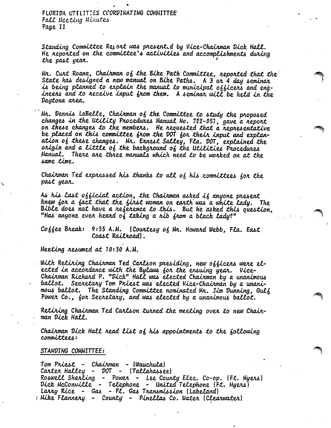FLORIDA UTILITIES COORDINATING COMMITTEE Fall Meeting Minutes Page II

Standing Committee Report was presented by Vice-Chairman Dick Hall. He reported on the committee's activities and accomplishments during the past year.

Nr. Curt Roane, Chairman of the Bike Path Committee, reported that the State has designed a new manual on Bike Paths. A 3 or 4 day seminar is being planned to explain the manual to municipal officers and engineers and to receive input from them. A seminar will be held in the Daytona area.

 $Mr.$  Dennis LaBelle, Chairman of the Committee to study the proposed changes in the Utility Procedures Manual No. 722-051, gave a report on these changes to the members. He requested that a representative be placed on this committee from the DOT for their input and explanation of these changes. Mr. Ernest Salley, Fla. DOT, explained the origin and a little of the background of the Utilities Procedures Manual. There are three manuals which need to be worked on at the same *t*ime.

Chairman Ted expressed his thanks to all of his committees for the past year.

As his last official action, the Chairman asked if anyone present knew for a fact that the first woman on earth was a white lady. The Bible does not have a reference to this. But he asked this question, "Has anyone ever heard of taking a rib from a black lady?"

Cohhee Break: 9:55 A.M. (Courtesy of Mr. Howard Webb, Fla. East Coast Railroad).

Meeting resumed at 10:30 A.M.

With Retiring Chairman Ted Carlson presiding, new officers were elected in accordance with the Bylaws for the ensuing year. Vice-Chairman Richard P. "Dick" Hall was elected Chairman by a unanimous ballot. Secretary Tom Priest was elected Vice-Chairman by a unanimous ballot. The Standing Committee nominated Mr. Jim Dunning, Gulf Power Co., for Secretary, and was elected by a unanimous ballot.

Retiring Chairman Ted Carlson turned the meeting over to new Chairman Dick Hall.

Chairman Dick Hall read list of his appointments to the following committees:

#### STANDING COMMITTEE:

Tom Priest - Chairman - (Wauchula) Carter Halley - DOT - (Tallahassee) Roswell Sherling - Power - Lee County Elec. Co-op. (Ft. Myers) Dick McConville - Telephone - United Telephone (Ft. Myers) Larry Rice - Gas - Fl. Gas Transmission (Lakeland) (Mike Flannery - County - Pinellas Co. Water (Clearwater)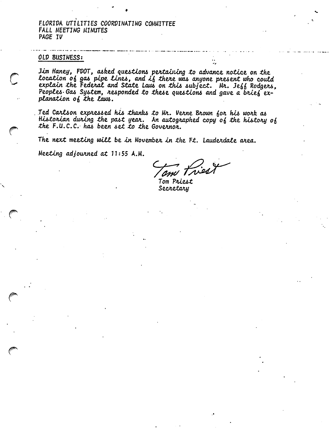FLORIDA UTILITIES COORDINATING COMMITTEE FALL MEETING MINUTES PAGE IV

## OLD BUSINESS:

Jim Haney, FDOT, asked questions pertaining to advance notice on the location of gas pipe lines, and if there was anyone present who could explain the Federal and State Laws on this subject. Mr. Jeff Rodgers, Peoples Gas System, responded to these questions and gave a brief explanation of the laws.

Ted Carlson expressed his thanks to Mr. Verne Brown for his work as Historian during the past year. An autographed copy of the history of the F.U.C.C. has been set to the Governor.

The next meeting will be in November in the Ft. Lauderdale area.

Meeting adjourned at 11:55 A.M.

Ired

Tom Priest Secretary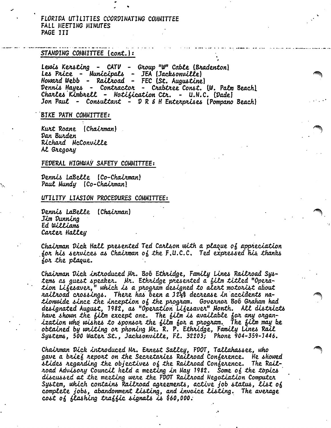# FLORIDA UTILITIES CCORDINATING COMMITTEE FALL MEETING MINUTES PAGE III

#### STANDING COMMITTEE (cont.):

Lewis Kersting - CATV - Group "W" Cable (Bradenton) Les Price - Municipals - JEA (Jacksonville) Howard Webb - Railroad - FEC (St. Augustine) Dennis Hayes - Contractor - Crabtree Const. (W. Palm Beach) Charles Kimbrell - Notification Ctr. - U.N.C. (Dade) Jon Paul - Consultant - D R & H Enterprises (Pompano Beach)

# BIKE PATH COMMITTEE:

Kurt Roane (Chairman) Dan Burden Richard McConville Al Gregory

#### FEDERAL HIGHWAY SAFETY COMMITTEE:

Dennis LaBelle (Co-Chairman) Paul Mundy (Co-Chairman)

## UTILITY LIASION PROCEDURES COMMITTEE:

Dennis LaBelle (Chairman) Jim Dunnina Ed Williams Carter Halley

Chairman Dick Hall presented Ted Carlson with a plaque of appreciation for his services as Chairman of the F.U.C.C. Ted expressed his thanks for the plaque.

Chairman Dick introduced Mr. Bob Ethridge, Family Lines Railroad Systems as guest speaker. Mr. Ethridge presented a film titled "Operation Lifesaver," which is a program designed to alert motorist about railroad crossings. There has been a 12½% decrease in accidents nationwide since the inception of the program. Governor Bob Graham had designated August, 1982, as "Operation Lifesaver" Month. All districts have shown the film except one. The film is available for any organization who wishes to sponsor the film for a program. The film may be obtained by writing or phoning Mr. R. P. Ethridge, Family Lines Rail Systems, 500 Water St., Jacksonville, Fl. 32203; Phone 904-359-1446.

Chairman Dick introduced Nr. Ernest Salley, FDOT, Tallahassee, who gave a brief report on the Secretaries Railroad Conference. He showed slides regarding the objectives of the Railroad Conference. The Railroad Advisory Council held a meeting in May 1982. Some of the topics discussed at the meeting were the FDOT Railroad Negotiation Computer System, which contains Railroad agreements, active job status, list of complete jobs, abandonment listing, and invoice listing. The average cost of flashing traffic signals is \$60,000.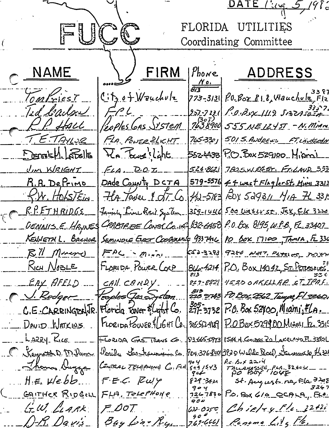DATE l'ing 5, 1986 FUCC FLORIDA UTILITIES Coordinating Committee NAME FIRM ADDRESS  $|*Phone*|$ <u>वन्न</u> Contriest  $C$   $t_2$  of Weuchulz  $773 - 3131$   $10.802818$ , Wauchule, Flz 3357231 P.O.Bux 1119 513275024 Ted liarlan  $F^{\rho}$ R.P. Hall PROPLES GAS JYSTEM 1638900 555 NE 1245T - N. MIAM T.E.TAYLOR FLA. POWER PLICHT 765-3301 501 S. ANDREWS FT. LANDERSON allada Walama Fla Towns light. 5524438 P.O. Pox 529100 Mipmi 524-8621 7825 W. 245T. Fr. LAUD 333 UM WRIGHT  $EAA$  D.O.I. 579-5576 44 west Flagler St. Minn 3313 R.A. DePrimo Dade County DCTA  $f$ W. Hols/Ein  $\frac{1}{4}$  = 5183 Feby 529311  $\frac{1}{10}$  H 331. Ha Tower Edt. Co R.P. ETHRIDGS 359-1446 500 Waterst. Jak, Els 3220 <u>Family Line Rail System</u> CRABIREE CONSC Co. 12 32-6458 P.O. Box 8195, W.P.B., FL.33407 DENNISE HAVNES **KENNETH L. BACHOR** Seminoue Ever Cooperante 937416 PO DOX 17100, TAMPA, FC 330 <u>Ell Muero</u> 552-3283 9250 NET7, PLYELEC, MOXW  $FAC - M.4n1$  $\left|\frac{\beta(16.4214)}{\beta(3.4214)}\right|$  P.O. Box 14042, Sr. Percessions: RICH NOBLE FLORIDA POWER COCP CAIL CANDY. 259-8821 4520 OAKELLAR ST IPAF. EAY AFELD 813<br>226 2743 PO Box 2662 Tumpa FI 33601  $\sqrt{R_{\textit{edge}}}$ coples (Jas System  $\frac{305}{271}$  3132  $P.0.$  Box 52100, Miami, FLA. Florida Tower & Light Co. C.E. CARRINGTON JR. FLORIDA CONER ! LIGHT CO. 30550408 POBOX529900 Miguel Es 3319 DAVID WATKINS LARRY RICE FLORIDA GAS TRAN  $$3145073$   $1544$  N  $6$  mass  $20$   $25$   $45$   $5350$ Porida Costranimiens Co. <u> C Keyworth D M Dame</u> P04.376-840 3920 Wulde Rock, Sawewelk, He324 Re Box 2214<br>Tacanassee, Fea, 323031<br>PO Boy 1048 go y<br>549 1543 Thomas Dugge Central TELEPHONE C. FLA  $904$  $H.E.$   $V/e.bb...$  $F.E.C. Euy$  $829 - 344$ St. August. na, Fla. 3248<br>3267  $904$ GAITHER RIDGELL FLA, Telephone P.O. BOX 610 QCALA, FLA.  $7267830$  $904$  $GLW, LLARK$  $FLOOT$  $ChieleyFle, 2242i$  $632.0250$  $50^{\circ}$ D-R. Davis Renome Lits Fle. Bay Line Ry  $7.63 - 6661$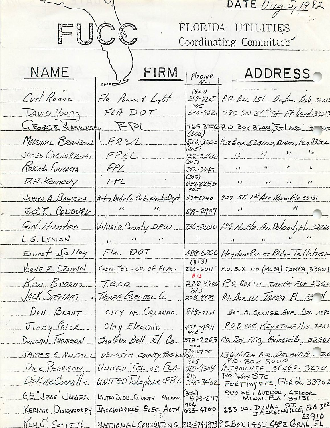DATE (149.5,1982 FUCC FLORIDA UTILITIES Coordinating Committee NAME FIRM ADDRESS Phone  $(904)$ Curt Roone Fla Power & Light P.O. Box 151 Dayton Beb 32015  $257 - 7205$  $305$ 780 Sw 24 St. Ft. Land. 33517 DAVID Young FLA DOT. 524-8621  $FPK$ GEORGE HASKUCKK 765-3216 P.O. Box 8248, Fr. LAD 3  $(305)$  $FPR/L$ MAESIAAL BRANDON 552-3260 P.O.Box 529102, Miami, FLA 33152 (نىرى) JARES CARTWRIGHT  $22$  $FPCL$  $l_l$  $552 - 3266$ 305) Rosendo FUNCASTA FPL  $52 - 3347$ (305) D.R. Kennedy  $FFL$  $^{\prime}$ 552.325.5<br>305 Hetro Dodr Co. Pub. WorksDept James A. Bowers 909 SE 15 Aur Mamifle 33131  $579 - 2790$ EGE) K. CONOUER  $\lambda$  $\mathcal{U}_{\cdot}$  $87 - 2997$ G.N.Hunter Volusia County DPW 736-2700 136 N. Fla. Av. Deland, El. 3272 L.G. LYMAN  $\frac{1}{2}$  $Fla. DOT$ Haydon Burns Bidg- Tallahasse Ernest Salley 488-8866  $(813)$ GEN. TEL. CO. OF FLA. VERNE R. BROWN P.O. BOX 110 (MC39) TAMPA, 33601  $224 - 6011$  $813$ 228 4705 P.D. BOX 111 TAMP+ FLA 3360 Ken Brown  $Teco$  $3/3$ JACK STEWART TAMPA ELECTRIC LO P.J. Box 111 Innes Fl 32 V 203 4434  $DON. BRANT$ CITY OF ORLANDO. 400 S. ORANGE AVE DRL. 3280  $849 - 2211$ P.O.B. 508 KEYSTONE HIS 3265 JIMMY PRICE  $ChyE_{E}$  $475 - 4911$ DUNCAN THOMSON Southern Bell Fel. Co. P.O. Boy 550, Gainesville, 32601 372-9063 904  $362700$ VOLUSIA COUNTY PARKING 136 N.FLA AVR. DELAND FL. PO JAMES E. NUTAL 305 DICK PEARSON UNITED TEL OF FLA  $589 - 9504$ ALTAMONTE SPRGS. 32701  $P.0.$  Boy 370 813 DEK McConville UNITED lelephone OFFLA 335-3402 FORTMYErs, Florida 33902 909 SEI AVENUE, 4FLOOR G.E 'JESSE' JAMES WETED DIDE COUNTY MIAMI 579-2717  $235 \text{ } \omega$ . DUUAL ST.LE FLA 3<sup>22</sup>  $J$ Acksonvicto ELEC. AOTH  $\begin{vmatrix} 904 & 4100 \\ 633 & 4100 \end{vmatrix}$ KERMIT DUNWOODY 33910 KENG. SMITH NATIONAL CONSULTING 813-574-1973 P.O.BOX 1952 CAPE CORAL EL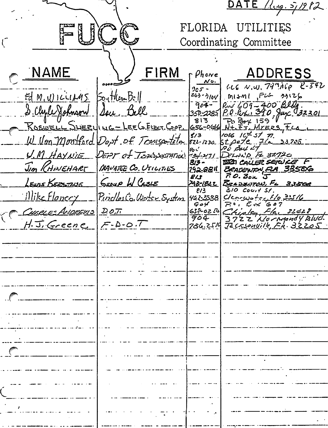DATE  $\lim_{s\to 0} s/282$ FLORIDA UTILITIES - 1  $\mathbb{R}^N$ Coordinating Committee NAME FIRM ADDRESS  $r$   $\rho_{h}$ owe  $116$  N.W. 747A60  $2-542$ 305 - $263 - 3109$ Southern Bell  $EdM(U)$  $M1 + M1$ ,  $F1 + 3126$  $RMS609-400820$ <br> $RMS609-390$ <br> $RMS64.390$ <br> $RMS64.159$ <br> $N+ST_Mreses Fca$  $904 -$ S. Chyle Johnson Seu Bell <u>350-2285</u>  $813$ ROSWELL SNEELING-LEEGELEET COOP 656-044  $5/3$ W. Von Montford Dept of Trunsporteton 822-1230  $5t$ *pete* 7/<u>a 33705</u>  $90$  But  $47$  $\varrho_c$   $\vec{\cdot}$ U.M. HAYNIE DEPT of TEDISSOCIATION 734-211 DELNND FL 32720 **BET CALLER SERVICE F** 813 -Jim RHINEHART MANATEE CO. UTILITIES BRADEWON FLA 33506 <u> 192.884</u>  $R$ 0. Box  $J$ 813 <u>GROUP W CABLE</u> LEWIS KERSTING <u>Beadevron, FL 33506</u> <u>748-1822</u>  $310$  Court St.  $E/3$ Illike Flancey Puicles Co. Woter System  $C$ carwoter,  $f/e$ ,  $2.5/6$ 462.3558  $P.0, E \propto 607$ <br>Chipley, Fla, 31428  $\mathcal{G}$  of CHARLES ANDREWS D.O.T. 632-0250 3722 Normandy Blud.<br>Tecrsonuille, FR. 32205 904 H. J. Greene  $F - D - O \cdot T$  $786.25/0$